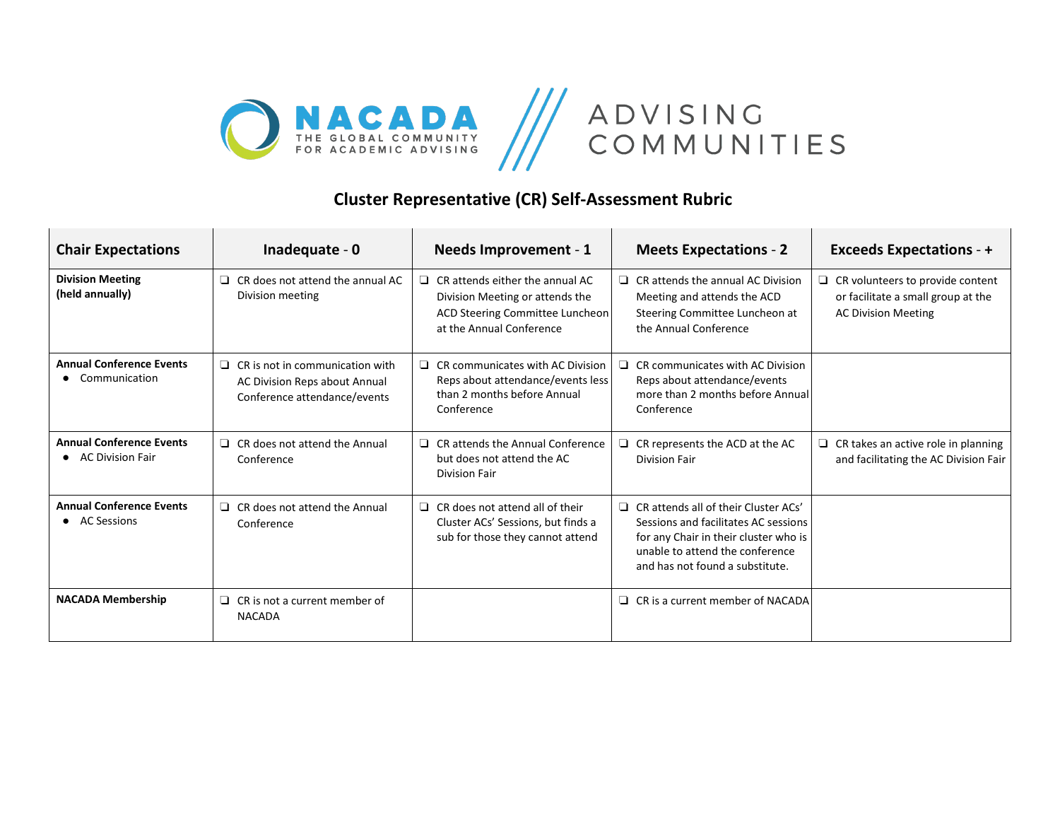



## **Cluster Representative (CR) Self-Assessment Rubric**

| <b>Chair Expectations</b>                             | Inadequate - 0                                                                                          | <b>Needs Improvement - 1</b>                                                                                                             | <b>Meets Expectations - 2</b>                                                                                                                                                                      | <b>Exceeds Expectations - +</b>                                                                             |
|-------------------------------------------------------|---------------------------------------------------------------------------------------------------------|------------------------------------------------------------------------------------------------------------------------------------------|----------------------------------------------------------------------------------------------------------------------------------------------------------------------------------------------------|-------------------------------------------------------------------------------------------------------------|
| <b>Division Meeting</b><br>(held annually)            | CR does not attend the annual AC<br>⊔<br>Division meeting                                               | $\Box$ CR attends either the annual AC<br>Division Meeting or attends the<br>ACD Steering Committee Luncheon<br>at the Annual Conference | $\Box$ CR attends the annual AC Division<br>Meeting and attends the ACD<br>Steering Committee Luncheon at<br>the Annual Conference                                                                 | $\Box$ CR volunteers to provide content<br>or facilitate a small group at the<br><b>AC Division Meeting</b> |
| <b>Annual Conference Events</b><br>Communication      | $\Box$ CR is not in communication with<br>AC Division Reps about Annual<br>Conference attendance/events | $\Box$ CR communicates with AC Division<br>Reps about attendance/events less<br>than 2 months before Annual<br>Conference                | CR communicates with AC Division<br>□.<br>Reps about attendance/events<br>more than 2 months before Annual<br>Conference                                                                           |                                                                                                             |
| <b>Annual Conference Events</b><br>• AC Division Fair | $\Box$ CR does not attend the Annual<br>Conference                                                      | $\Box$ CR attends the Annual Conference<br>but does not attend the AC<br>Division Fair                                                   | $\Box$ CR represents the ACD at the AC<br>Division Fair                                                                                                                                            | CR takes an active role in planning<br>⊔<br>and facilitating the AC Division Fair                           |
| <b>Annual Conference Events</b><br>• AC Sessions      | $\Box$ CR does not attend the Annual<br>Conference                                                      | $\Box$ CR does not attend all of their<br>Cluster ACs' Sessions, but finds a<br>sub for those they cannot attend                         | $\Box$ CR attends all of their Cluster ACs'<br>Sessions and facilitates AC sessions<br>for any Chair in their cluster who is<br>unable to attend the conference<br>and has not found a substitute. |                                                                                                             |
| <b>NACADA Membership</b>                              | $\Box$ CR is not a current member of<br><b>NACADA</b>                                                   |                                                                                                                                          | $\Box$ CR is a current member of NACADA                                                                                                                                                            |                                                                                                             |